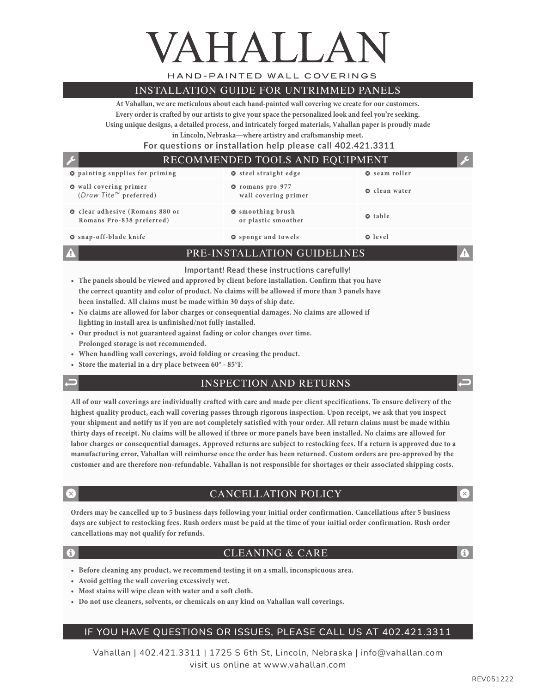# VAHALLA

HAND-PAINTED WALL COVERINGS

#### INSTALLATION GUIDE FOR UNTRIMMED PANELS

**At Vahallan, we are meticulous about each hand-painted wall covering we create for our customers. Every order is crafted by our artists to give your space the personalized look and feel you're seeking. Using unique designs, a detailed process, and intricately forged materials, Vahallan paper is proudly made** 

**in Lincoln, Nebraska—where artistry and craftsmanship meet.** 

 **For questions or installation help please call 402.421.3311**

#### $\bullet$  painting supplies for priming  $\bullet$  steel straight edge  $\bullet$  seam roller  $\bullet$  wall covering primer **(***Draw Tite™* **preferred)** � **romans pro-977 wall covering primer** � **clean water**  $\odot$  clear adhesive (Romans 880 or **Romans Pro-838 preferred)** � **smoothing brush or plastic smoother o** table � **snap-off-blade knife** � **sponge and towels** � **level** RECOMMENDED TOOLS AND EQUIPMENT

PRE-INSTALLATION GUIDELINES

#### **Important! Read these instructions carefully!**

- **• The panels should be viewed and approved by client before installation. Confirm that you have the correct quantity and color of product. No claims will be allowed if more than 3 panels have been installed. All claims must be made within 30 days of ship date.**
- **• No claims are allowed for labor charges or consequential damages. No claims are allowed if lighting in install area is unfinished/not fully installed.**
- **• Our product is not guaranteed against fading or color changes over time. Prolonged storage is not recommended.**
- **• When handling wall coverings, avoid folding or creasing the product.**
- **• Store the material in a dry place between 60° 85°F.**
- 

#### INSPECTION AND RETURNS

**All of our wall coverings are individually crafted with care and made per client specifications. To ensure delivery of the highest quality product, each wall covering passes through rigorous inspection. Upon receipt, we ask that you inspect your shipment and notify us if you are not completely satisfied with your order. All return claims must be made within thirty days of receipt. No claims will be allowed if three or more panels have been installed. No claims are allowed for labor charges or consequential damages. Approved returns are subject to restocking fees. If a return is approved due to a manufacturing error, Vahallan will reimburse once the order has been returned. Custom orders are pre-approved by the customer and are therefore non-refundable. Vahallan is not responsible for shortages or their associated shipping costs.**

#### CANCELLATION POLICY

**Orders may be cancelled up to 5 business days following your initial order confirmation. Cancellations after 5 business days are subject to restocking fees. Rush orders must be paid at the time of your initial order confirmation. Rush order cancellations may not qualify for refunds.**

#### CLEANING & CARE

- **• Before cleaning any product, we recommend testing it on a small, inconspicuous area.**
- **• Avoid getting the wall covering excessively wet.**
- **• Most stains will wipe clean with water and a soft cloth.**
- **• Do not use cleaners, solvents, or chemicals on any kind on Vahallan wall coverings.**

### IF YOU HAVE QUESTIONS OR ISSUES, PLEASE CALL US AT 402.421.3311

Vahallan | 402.421.3311 | 1725 S 6th St, Lincoln, Nebraska | info@vahallan.com visit us online at www.vahallan.com